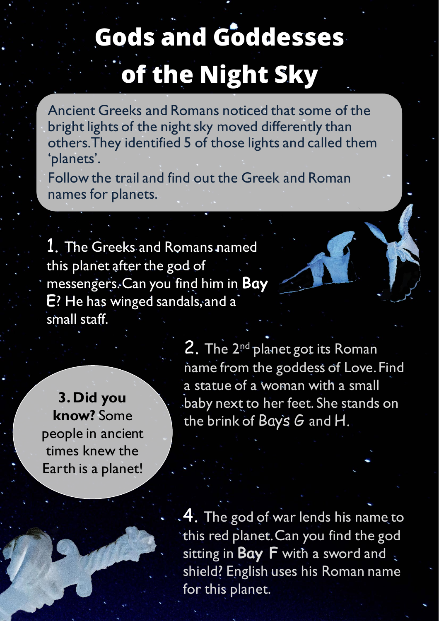## Gods and Goddesses of the Night Sky

Ancient Greeks and Romans noticed that some of the bright lights of the night sky moved differently than others. They identified 5 of those lights and called them 'planets'.

Follow the trail and find out the Greek and Roman names for planets.

1. The Greeks and Romans named this planet after the god of messengers. Can you find him in **Bay E**? He has winged sandals, and a small staff.

**3. Did you know?** Some people in ancient times knew the Earth is a planet!

2. The 2<sup>nd</sup> planet got its Roman name from the goddess of Love. Find a statue of a woman with a small baby next to her feet. She stands on the brink of Bays G and H.

4. The god of war lends his name to this red planet. Can you find the god sitting in **Bay F** with a sword and shield? English uses his Roman name for this planet.